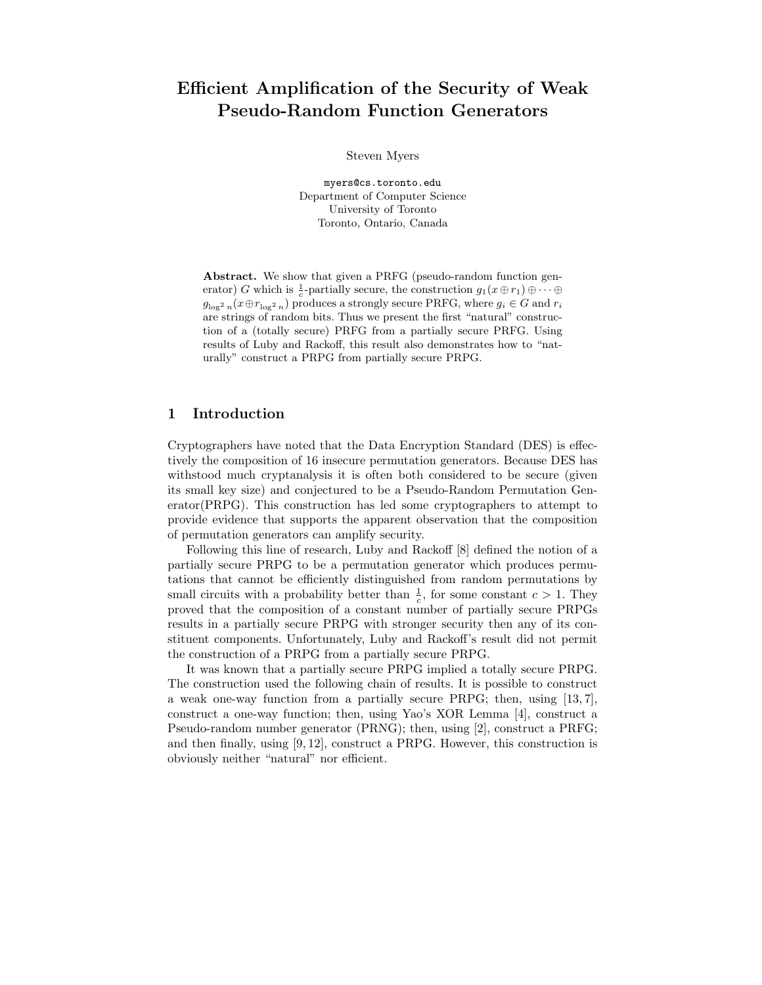# Efficient Amplification of the Security of Weak Pseudo-Random Function Generators

Steven Myers

myers@cs.toronto.edu Department of Computer Science University of Toronto Toronto, Ontario, Canada

Abstract. We show that given a PRFG (pseudo-random function generator) G which is  $\frac{1}{c}$ -partially secure, the construction  $g_1(x \oplus r_1) \oplus \cdots \oplus$  $g_{\log^2 n}(x \oplus r_{\log^2 n})$  produces a strongly secure PRFG, where  $g_i \in G$  and  $r_i$ are strings of random bits. Thus we present the first "natural" construction of a (totally secure) PRFG from a partially secure PRFG. Using results of Luby and Rackoff, this result also demonstrates how to "naturally" construct a PRPG from partially secure PRPG.

# 1 Introduction

Cryptographers have noted that the Data Encryption Standard (DES) is effectively the composition of 16 insecure permutation generators. Because DES has withstood much cryptanalysis it is often both considered to be secure (given its small key size) and conjectured to be a Pseudo-Random Permutation Generator(PRPG). This construction has led some cryptographers to attempt to provide evidence that supports the apparent observation that the composition of permutation generators can amplify security.

Following this line of research, Luby and Rackoff [8] defined the notion of a partially secure PRPG to be a permutation generator which produces permutations that cannot be efficiently distinguished from random permutations by small circuits with a probability better than  $\frac{1}{c}$ , for some constant  $c > 1$ . They proved that the composition of a constant number of partially secure PRPGs results in a partially secure PRPG with stronger security then any of its constituent components. Unfortunately, Luby and Rackoff's result did not permit the construction of a PRPG from a partially secure PRPG.

It was known that a partially secure PRPG implied a totally secure PRPG. The construction used the following chain of results. It is possible to construct a weak one-way function from a partially secure PRPG; then, using [13, 7], construct a one-way function; then, using Yao's XOR Lemma [4], construct a Pseudo-random number generator (PRNG); then, using [2], construct a PRFG; and then finally, using [9, 12], construct a PRPG. However, this construction is obviously neither "natural" nor efficient.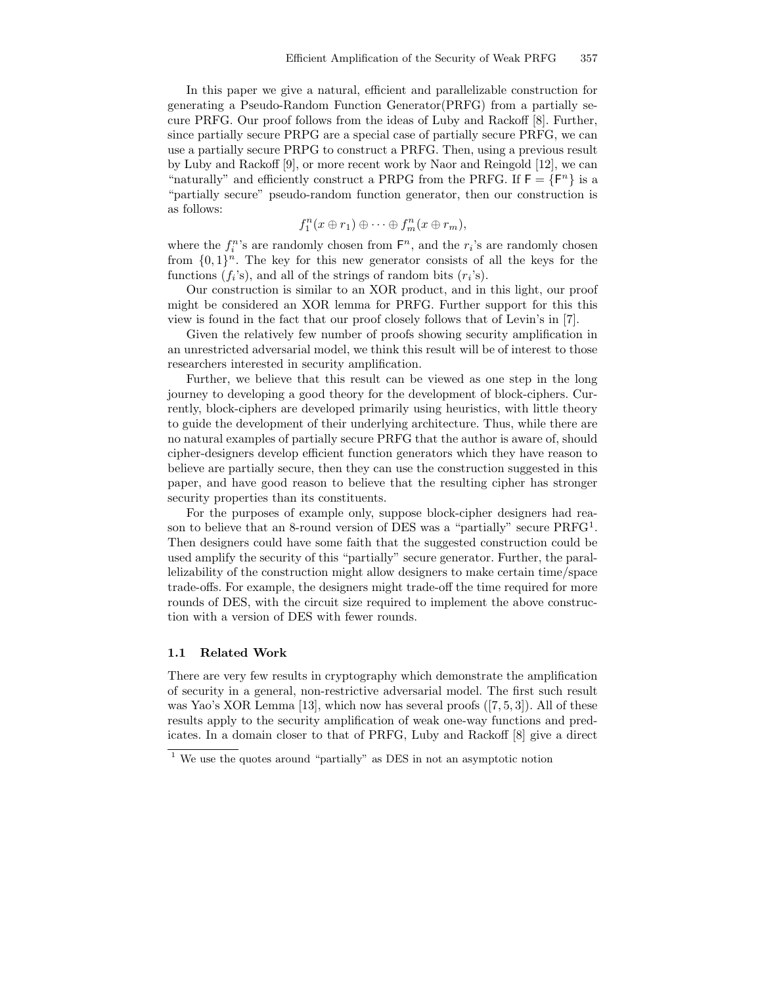In this paper we give a natural, efficient and parallelizable construction for generating a Pseudo-Random Function Generator(PRFG) from a partially secure PRFG. Our proof follows from the ideas of Luby and Rackoff [8]. Further, since partially secure PRPG are a special case of partially secure PRFG, we can use a partially secure PRPG to construct a PRFG. Then, using a previous result by Luby and Rackoff [9], or more recent work by Naor and Reingold [12], we can "naturally" and efficiently construct a PRPG from the PRFG. If  $F = \{F^n\}$  is a "partially secure" pseudo-random function generator, then our construction is as follows:

$$
f_1^n(x \oplus r_1) \oplus \cdots \oplus f_m^n(x \oplus r_m),
$$

where the  $f_i^n$ 's are randomly chosen from  $\mathsf{F}^n$ , and the  $r_i$ 's are randomly chosen from  $\{0,1\}^n$ . The key for this new generator consists of all the keys for the functions  $(f_i)$ , and all of the strings of random bits  $(r_i)$ .

Our construction is similar to an XOR product, and in this light, our proof might be considered an XOR lemma for PRFG. Further support for this this view is found in the fact that our proof closely follows that of Levin's in [7].

Given the relatively few number of proofs showing security amplification in an unrestricted adversarial model, we think this result will be of interest to those researchers interested in security amplification.

Further, we believe that this result can be viewed as one step in the long journey to developing a good theory for the development of block-ciphers. Currently, block-ciphers are developed primarily using heuristics, with little theory to guide the development of their underlying architecture. Thus, while there are no natural examples of partially secure PRFG that the author is aware of, should cipher-designers develop efficient function generators which they have reason to believe are partially secure, then they can use the construction suggested in this paper, and have good reason to believe that the resulting cipher has stronger security properties than its constituents.

For the purposes of example only, suppose block-cipher designers had reason to believe that an 8-round version of DES was a "partially" secure PRFG<sup>1</sup>. Then designers could have some faith that the suggested construction could be used amplify the security of this "partially" secure generator. Further, the parallelizability of the construction might allow designers to make certain time/space trade-offs. For example, the designers might trade-off the time required for more rounds of DES, with the circuit size required to implement the above construction with a version of DES with fewer rounds.

## 1.1 Related Work

There are very few results in cryptography which demonstrate the amplification of security in a general, non-restrictive adversarial model. The first such result was Yao's XOR Lemma [13], which now has several proofs ([7, 5, 3]). All of these results apply to the security amplification of weak one-way functions and predicates. In a domain closer to that of PRFG, Luby and Rackoff [8] give a direct

<sup>1</sup> We use the quotes around "partially" as DES in not an asymptotic notion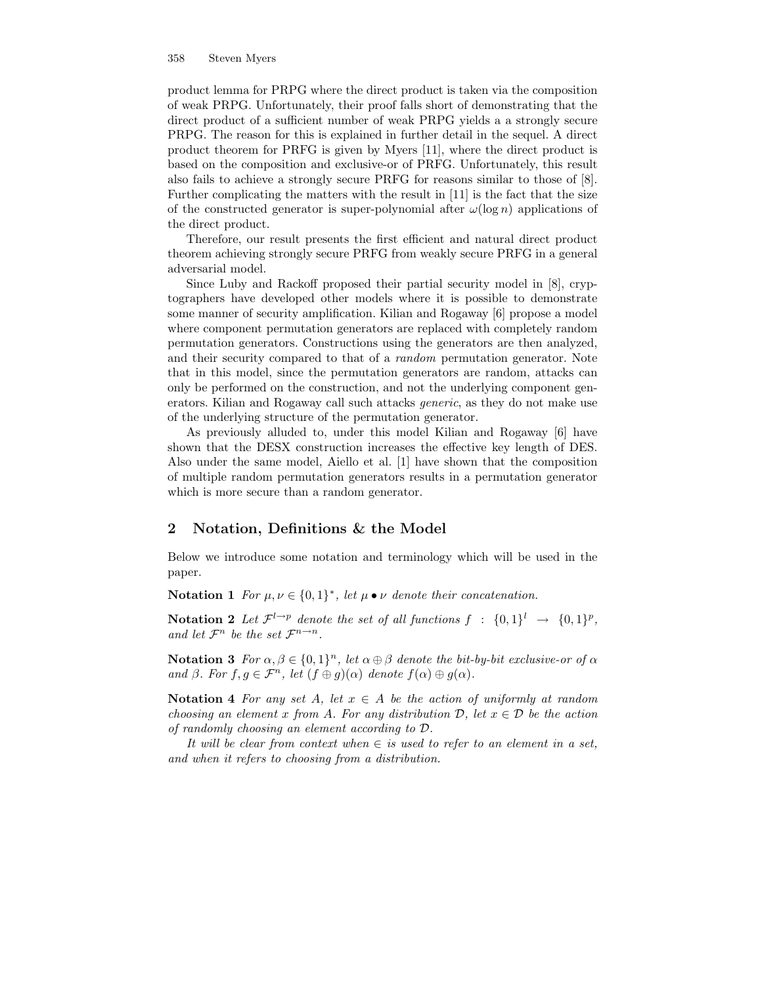product lemma for PRPG where the direct product is taken via the composition of weak PRPG. Unfortunately, their proof falls short of demonstrating that the direct product of a sufficient number of weak PRPG yields a a strongly secure PRPG. The reason for this is explained in further detail in the sequel. A direct product theorem for PRFG is given by Myers [11], where the direct product is based on the composition and exclusive-or of PRFG. Unfortunately, this result also fails to achieve a strongly secure PRFG for reasons similar to those of [8]. Further complicating the matters with the result in [11] is the fact that the size of the constructed generator is super-polynomial after  $\omega(\log n)$  applications of the direct product.

Therefore, our result presents the first efficient and natural direct product theorem achieving strongly secure PRFG from weakly secure PRFG in a general adversarial model.

Since Luby and Rackoff proposed their partial security model in [8], cryptographers have developed other models where it is possible to demonstrate some manner of security amplification. Kilian and Rogaway [6] propose a model where component permutation generators are replaced with completely random permutation generators. Constructions using the generators are then analyzed, and their security compared to that of a random permutation generator. Note that in this model, since the permutation generators are random, attacks can only be performed on the construction, and not the underlying component generators. Kilian and Rogaway call such attacks generic, as they do not make use of the underlying structure of the permutation generator.

As previously alluded to, under this model Kilian and Rogaway [6] have shown that the DESX construction increases the effective key length of DES. Also under the same model, Aiello et al. [1] have shown that the composition of multiple random permutation generators results in a permutation generator which is more secure than a random generator.

## 2 Notation, Definitions & the Model

Below we introduce some notation and terminology which will be used in the paper.

Notation 1 For  $\mu, \nu \in \{0,1\}^*$ , let  $\mu \bullet \nu$  denote their concatenation.

Notation 2 Let  $\mathcal{F}^{l \to p}$  denote the set of all functions  $f : \{0,1\}^l \to \{0,1\}^p$ , and let  $\mathcal{F}^n$  be the set  $\mathcal{F}^{n \to n}$ .

**Notation 3** For  $\alpha, \beta \in \{0, 1\}^n$ , let  $\alpha \oplus \beta$  denote the bit-by-bit exclusive-or of  $\alpha$ and  $\beta$ . For  $f, g \in \mathcal{F}^n$ , let  $(f \oplus g)(\alpha)$  denote  $f(\alpha) \oplus g(\alpha)$ .

Notation 4 For any set A, let  $x \in A$  be the action of uniformly at random choosing an element x from A. For any distribution D, let  $x \in \mathcal{D}$  be the action of randomly choosing an element according to D.

It will be clear from context when  $\in$  is used to refer to an element in a set, and when it refers to choosing from a distribution.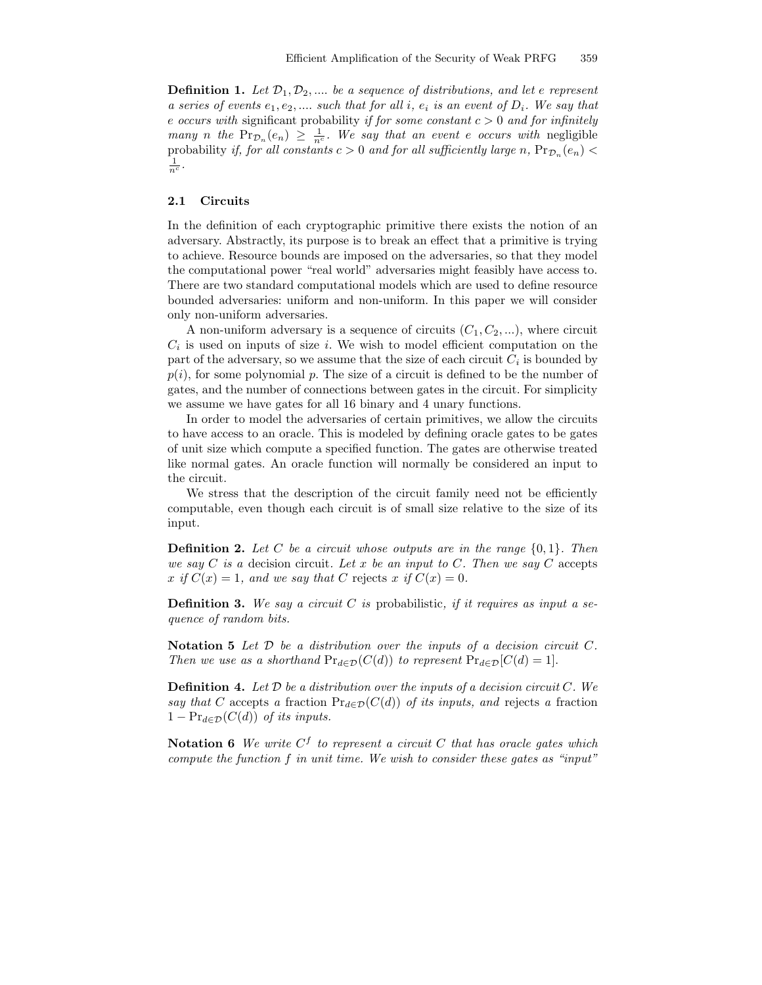**Definition 1.** Let  $\mathcal{D}_1, \mathcal{D}_2, \dots$  be a sequence of distributions, and let e represent a series of events  $e_1, e_2, \dots$  such that for all i,  $e_i$  is an event of  $D_i$ . We say that e occurs with significant probability if for some constant  $c > 0$  and for infinitely many n the  $Pr_{\mathcal{D}_n}(e_n) \geq \frac{1}{n^c}$ . We say that an event e occurs with negligible probability *if, for all constants*  $c > 0$  and for all sufficiently large n,  $Pr_{\mathcal{D}_n}(e_n)$  $\frac{1}{n^c}$  .

## 2.1 Circuits

In the definition of each cryptographic primitive there exists the notion of an adversary. Abstractly, its purpose is to break an effect that a primitive is trying to achieve. Resource bounds are imposed on the adversaries, so that they model the computational power "real world" adversaries might feasibly have access to. There are two standard computational models which are used to define resource bounded adversaries: uniform and non-uniform. In this paper we will consider only non-uniform adversaries.

A non-uniform adversary is a sequence of circuits  $(C_1, C_2, \ldots)$ , where circuit  $C_i$  is used on inputs of size i. We wish to model efficient computation on the part of the adversary, so we assume that the size of each circuit  $C_i$  is bounded by  $p(i)$ , for some polynomial p. The size of a circuit is defined to be the number of gates, and the number of connections between gates in the circuit. For simplicity we assume we have gates for all 16 binary and 4 unary functions.

In order to model the adversaries of certain primitives, we allow the circuits to have access to an oracle. This is modeled by defining oracle gates to be gates of unit size which compute a specified function. The gates are otherwise treated like normal gates. An oracle function will normally be considered an input to the circuit.

We stress that the description of the circuit family need not be efficiently computable, even though each circuit is of small size relative to the size of its input.

**Definition 2.** Let C be a circuit whose outputs are in the range  $\{0, 1\}$ . Then we say C is a decision circuit. Let x be an input to C. Then we say C accepts x if  $C(x) = 1$ , and we say that C rejects x if  $C(x) = 0$ .

**Definition 3.** We say a circuit C is probabilistic, if it requires as input a sequence of random bits.

Notation 5 Let  $D$  be a distribution over the inputs of a decision circuit  $C$ . Then we use as a shorthand  $Pr_{d \in \mathcal{D}}(C(d))$  to represent  $Pr_{d \in \mathcal{D}}[C(d) = 1].$ 

**Definition 4.** Let  $D$  be a distribution over the inputs of a decision circuit  $C$ . We say that C accepts a fraction  $Pr_{d \in \mathcal{D}}(C(d))$  of its inputs, and rejects a fraction  $1 - \Pr_{d \in \mathcal{D}}(C(d))$  of its inputs.

**Notation 6** We write  $C<sup>f</sup>$  to represent a circuit C that has oracle gates which compute the function f in unit time. We wish to consider these gates as "input"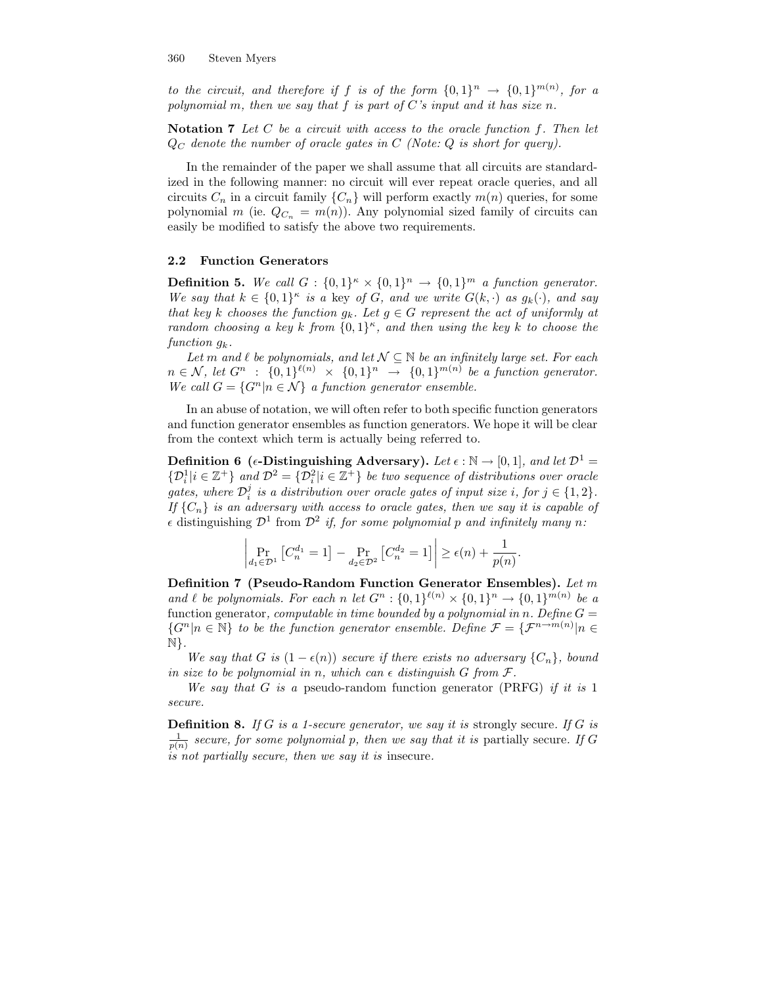to the circuit, and therefore if f is of the form  $\{0,1\}^n \rightarrow \{0,1\}^{m(n)}$ , for a polynomial m, then we say that f is part of  $C$ 's input and it has size n.

Notation 7 Let  $C$  be a circuit with access to the oracle function  $f$ . Then let  $Q_C$  denote the number of oracle gates in C (Note: Q is short for query).

In the remainder of the paper we shall assume that all circuits are standardized in the following manner: no circuit will ever repeat oracle queries, and all circuits  $C_n$  in a circuit family  $\{C_n\}$  will perform exactly  $m(n)$  queries, for some polynomial m (ie.  $Q_{C_n} = m(n)$ ). Any polynomial sized family of circuits can easily be modified to satisfy the above two requirements.

#### 2.2 Function Generators

**Definition 5.** We call  $G : \{0,1\}^n \times \{0,1\}^n \rightarrow \{0,1\}^m$  a function generator. We say that  $k \in \{0,1\}^{\kappa}$  is a key of G, and we write  $G(k, \cdot)$  as  $g_k(\cdot)$ , and say that key k chooses the function  $g_k$ . Let  $g \in G$  represent the act of uniformly at random choosing a key k from  $\{0,1\}^{\kappa}$ , and then using the key k to choose the function  $q_k$ .

Let m and  $\ell$  be polynomials, and let  $\mathcal{N} \subset \mathbb{N}$  be an infinitely large set. For each  $n \in \mathcal{N}$ , let  $G^n$  :  $\{0,1\}^{\ell(n)} \times \{0,1\}^n \rightarrow \{0,1\}^{m(n)}$  be a function generator. We call  $G = \{G^n | n \in \mathcal{N}\}\$ a function generator ensemble.

In an abuse of notation, we will often refer to both specific function generators and function generator ensembles as function generators. We hope it will be clear from the context which term is actually being referred to.

Definition 6 ( $\epsilon$ -Distinguishing Adversary). Let  $\epsilon : \mathbb{N} \to [0,1]$ , and let  $\mathcal{D}^1 =$  $\{\mathcal{D}_i^1 | i \in \mathbb{Z}^+\}$  and  $\mathcal{D}^2 = \{\mathcal{D}_i^2 | i \in \mathbb{Z}^+\}$  be two sequence of distributions over oracle gates, where  $\mathcal{D}_i^j$  is a distribution over oracle gates of input size i, for  $j \in \{1,2\}$ . If  $\{C_n\}$  is an adversary with access to oracle gates, then we say it is capable of  $\epsilon$  distinguishing  $\mathcal{D}^1$  from  $\mathcal{D}^2$  if, for some polynomial p and infinitely many n:

$$
\left| \Pr_{d_1 \in \mathcal{D}^1} \left[ C_n^{d_1} = 1 \right] - \Pr_{d_2 \in \mathcal{D}^2} \left[ C_n^{d_2} = 1 \right] \right| \ge \epsilon(n) + \frac{1}{p(n)}.
$$

Definition 7 (Pseudo-Random Function Generator Ensembles). Let m and  $\ell$  be polynomials. For each n let  $G^n : \{0,1\}^{\ell(n)} \times \{0,1\}^n \to \{0,1\}^{m(n)}$  be a function generator, computable in time bounded by a polynomial in n. Define  $G =$  $\{G^n|n \in \mathbb{N}\}\$  to be the function generator ensemble. Define  $\mathcal{F} = \{\mathcal{F}^{n \to m(n)}|n \in \mathbb{N}\}\$ N}.

We say that G is  $(1 - \epsilon(n))$  secure if there exists no adversary  $\{C_n\}$ , bound in size to be polynomial in n, which can  $\epsilon$  distinguish G from  $\mathcal{F}$ .

We say that G is a pseudo-random function generator (PRFG) if it is 1 secure.

**Definition 8.** If G is a 1-secure generator, we say it is strongly secure. If G is  $\frac{1}{p(n)}$  secure, for some polynomial p, then we say that it is partially secure. If G is not partially secure, then we say it is insecure.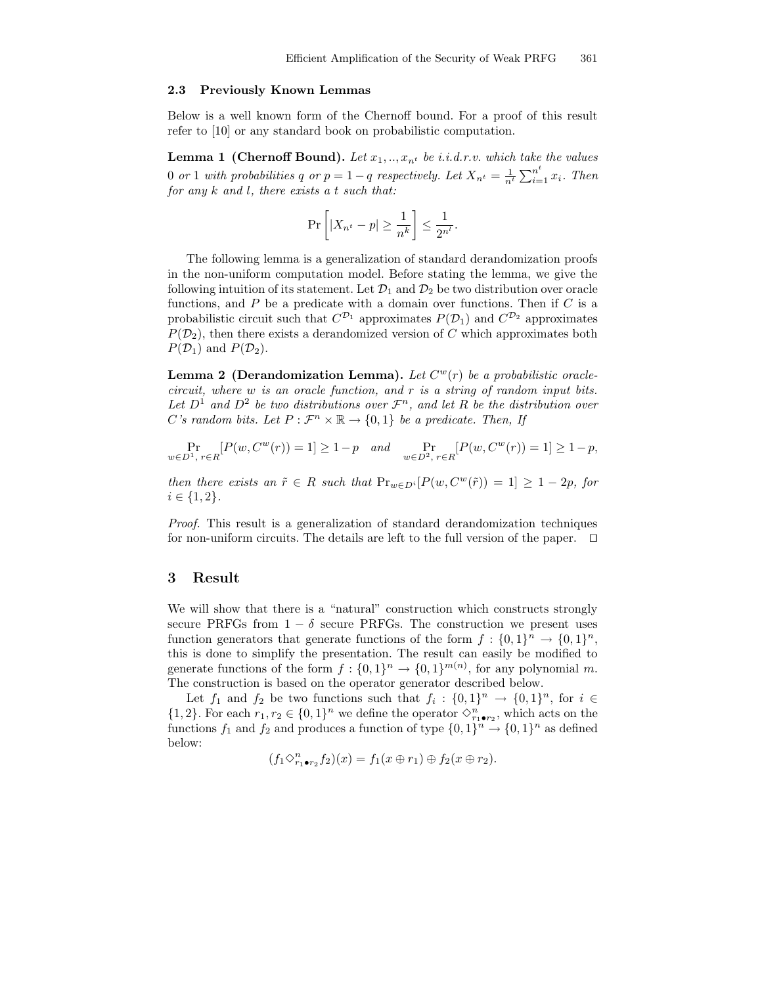#### 2.3 Previously Known Lemmas

Below is a well known form of the Chernoff bound. For a proof of this result refer to [10] or any standard book on probabilistic computation.

**Lemma 1 (Chernoff Bound).** Let  $x_1, \ldots, x_n$  be i.i.d.r.v. which take the values 0 or 1 with probabilities q or  $p = 1 - q$  respectively. Let  $X_{n^t} = \frac{1}{n^t} \sum_{i=1}^{n^t} x_i$ . Then for any  $k$  and  $l$ , there exists a  $t$  such that:

$$
\Pr\left[ |X_{n^t} - p| \ge \frac{1}{n^k} \right] \le \frac{1}{2^{n^l}}.
$$

The following lemma is a generalization of standard derandomization proofs in the non-uniform computation model. Before stating the lemma, we give the following intuition of its statement. Let  $\mathcal{D}_1$  and  $\mathcal{D}_2$  be two distribution over oracle functions, and  $P$  be a predicate with a domain over functions. Then if  $C$  is a probabilistic circuit such that  $C^{\mathcal{D}_1}$  approximates  $P(\mathcal{D}_1)$  and  $C^{\mathcal{D}_2}$  approximates  $P(\mathcal{D}_2)$ , then there exists a derandomized version of C which approximates both  $P(\mathcal{D}_1)$  and  $P(\mathcal{D}_2)$ .

**Lemma 2 (Derandomization Lemma).** Let  $C^w(r)$  be a probabilistic oraclecircuit, where w is an oracle function, and r is a string of random input bits. Let  $D^1$  and  $D^2$  be two distributions over  $\mathcal{F}^n$ , and let R be the distribution over C's random bits. Let  $P : \mathcal{F}^n \times \mathbb{R} \to \{0,1\}$  be a predicate. Then, If

$$
\Pr_{w \in D^1, r \in R} [P(w, C^w(r)) = 1] \ge 1 - p \quad and \quad \Pr_{w \in D^2, r \in R} [P(w, C^w(r)) = 1] \ge 1 - p,
$$

then there exists an  $\tilde{r} \in R$  such that  $Pr_{w \in D^i}[P(w, C^w(\tilde{r})) = 1] \ge 1 - 2p$ , for  $i \in \{1, 2\}.$ 

Proof. This result is a generalization of standard derandomization techniques for non-uniform circuits. The details are left to the full version of the paper.  $\Box$ 

#### 3 Result

We will show that there is a "natural" construction which constructs strongly secure PRFGs from  $1 - \delta$  secure PRFGs. The construction we present uses function generators that generate functions of the form  $f: \{0,1\}^n \to \{0,1\}^n$ , this is done to simplify the presentation. The result can easily be modified to generate functions of the form  $f: \{0,1\}^n \to \{0,1\}^{m(n)}$ , for any polynomial m. The construction is based on the operator generator described below.

Let  $f_1$  and  $f_2$  be two functions such that  $f_i: \{0,1\}^n \to \{0,1\}^n$ , for  $i \in$  $\{1,2\}$ . For each  $r_1, r_2 \in \{0,1\}^n$  we define the operator  $\Diamond_{r_1 \bullet r_2}^n$ , which acts on the functions  $f_1$  and  $f_2$  and produces a function of type  $\{0,1\}^n \to \{0,1\}^n$  as defined below:

$$
(f_1\diamondsuit_{r_1\bullet r_2}^n f_2)(x) = f_1(x \oplus r_1) \oplus f_2(x \oplus r_2).
$$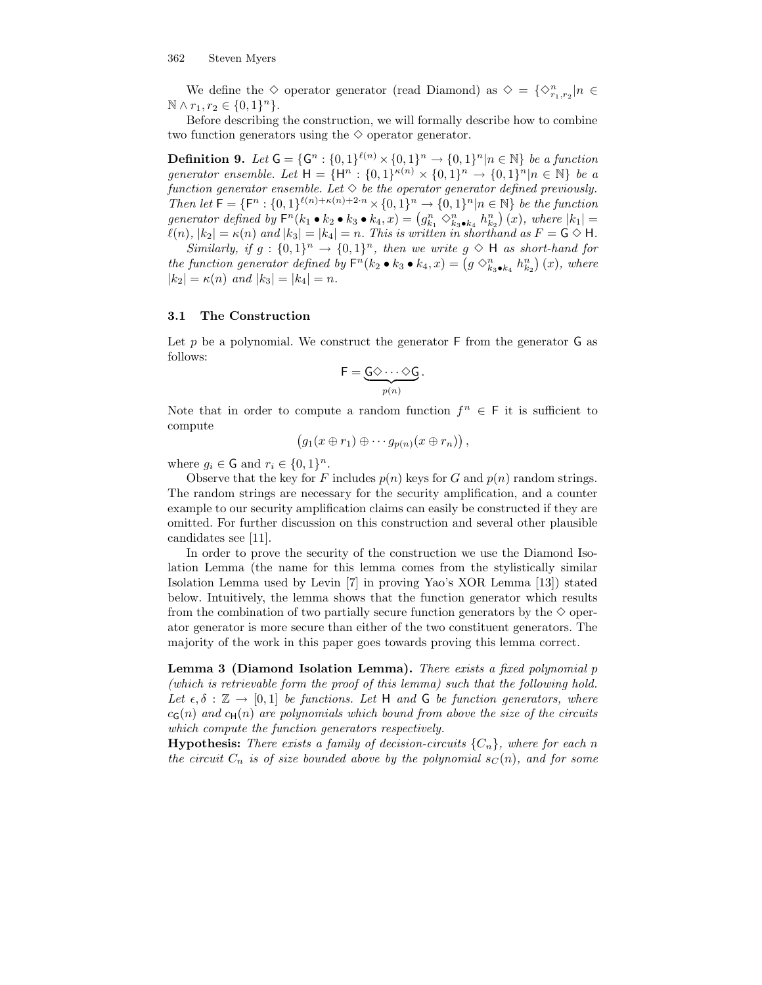We define the  $\diamond$  operator generator (read Diamond) as  $\diamondsuit = \{\diamondsuit^n_{r_1,r_2}|n \in$  $\mathbb{N} \wedge r_1, r_2 \in \{0, 1\}^n\}.$ 

Before describing the construction, we will formally describe how to combine two function generators using the  $\diamond$  operator generator.

**Definition 9.** Let  $G = \{G^n : \{0,1\}^{\ell(n)} \times \{0,1\}^n \to \{0,1\}^n | n \in \mathbb{N}\}$  be a function generator ensemble. Let  $H = {H^n : {0,1}^{\kappa(n)} \times {0,1}^n \to {0,1}^n | n \in \mathbb{N}}$  be a function generator ensemble. Let  $\diamond$  be the operator generator defined previously. Then let  $F = \{F^n : \{0,1\}^{\ell(n)+\kappa(n)+2\cdot n} \times \{0,1\}^n \to \{0,1\}^n | n \in \mathbb{N}\}\$  be the function generator defined by  $F^{n}(k_1 \bullet k_2 \bullet k_3 \bullet k_4, x) = (g_{k_1}^{n} \diamondsuit_{k_3 \bullet k_4}^{n} h_{k_2}^{n}) (x)$ , where  $|k_1| =$  $\ell(n)$ ,  $|k_2| = \kappa(n)$  and  $|k_3| = |k_4| = n$ . This is written in shorthand as  $F = G \diamond H$ .

Similarly, if  $g: \{0,1\}^n \rightarrow \{0,1\}^n$ , then we write  $g \Diamond H$  as short-hand for the function generator defined by  $F^{n}(k_2 \bullet k_3 \bullet k_4, x) = (g \diamond_{k_3 \bullet k_4}^n h_{k_2}^n)(x)$ , where  $|k_2| = \kappa(n)$  and  $|k_3| = |k_4| = n$ .

## 3.1 The Construction

Let  $p$  be a polynomial. We construct the generator  $\mathsf F$  from the generator  $\mathsf G$  as follows:

$$
\mathsf{F}=\underbrace{\mathsf{G}\diamondsuit\cdots\diamondsuit\mathsf{G}}_{p(n)}.
$$

Note that in order to compute a random function  $f^n \in F$  it is sufficient to compute

$$
(g_1(x \oplus r_1) \oplus \cdots g_{p(n)}(x \oplus r_n)),
$$

where  $g_i \in \mathsf{G}$  and  $r_i \in \{0,1\}^n$ .

Observe that the key for F includes  $p(n)$  keys for G and  $p(n)$  random strings. The random strings are necessary for the security amplification, and a counter example to our security amplification claims can easily be constructed if they are omitted. For further discussion on this construction and several other plausible candidates see [11].

In order to prove the security of the construction we use the Diamond Isolation Lemma (the name for this lemma comes from the stylistically similar Isolation Lemma used by Levin [7] in proving Yao's XOR Lemma [13]) stated below. Intuitively, the lemma shows that the function generator which results from the combination of two partially secure function generators by the  $\diamond$  operator generator is more secure than either of the two constituent generators. The majority of the work in this paper goes towards proving this lemma correct.

Lemma 3 (Diamond Isolation Lemma). There exists a fixed polynomial p (which is retrievable form the proof of this lemma) such that the following hold. Let  $\epsilon, \delta : \mathbb{Z} \to [0, 1]$  be functions. Let H and G be function generators, where  $c_G(n)$  and  $c_H(n)$  are polynomials which bound from above the size of the circuits which compute the function generators respectively.

**Hypothesis:** There exists a family of decision-circuits  $\{C_n\}$ , where for each n the circuit  $C_n$  is of size bounded above by the polynomial  $s_C(n)$ , and for some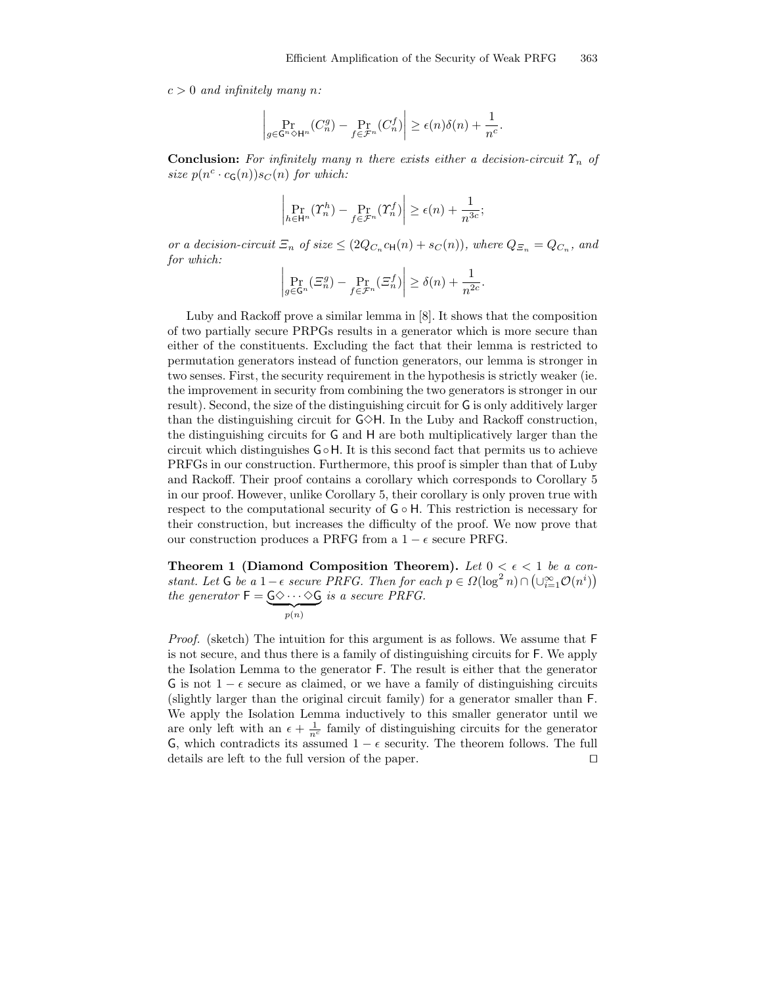$c > 0$  and infinitely many n:

$$
\left|\Pr_{g \in \mathsf{G}^n \diamondsuit \mathsf{H}^n}(C_n^g) - \Pr_{f \in \mathcal{F}^n}(C_n^f)\right| \ge \epsilon(n)\delta(n) + \frac{1}{n^c}.
$$

**Conclusion:** For infinitely many n there exists either a decision-circuit  $\Upsilon_n$  of size  $p(n^c \cdot c_{\mathsf{G}}(n))s_C(n)$  for which:

$$
\left|\Pr_{h \in \mathsf{H}^n}(\varUpsilon_n^h) - \Pr_{f \in \mathcal{F}^n}(\varUpsilon_n^f)\right| \ge \epsilon(n) + \frac{1}{n^{3c}};
$$

or a decision-circuit  $\Xi_n$  of size  $\leq (2Q_{C_n}c_{\mathsf{H}}(n) + s_C(n))$ , where  $Q_{\Xi_n} = Q_{C_n}$ , and for which:

$$
\left|\Pr_{g \in \mathsf{G}^n}(\varXi_n^g) - \Pr_{f \in \mathcal{F}^n}(\varXi_n^f)\right| \ge \delta(n) + \frac{1}{n^{2c}}.
$$

Luby and Rackoff prove a similar lemma in [8]. It shows that the composition of two partially secure PRPGs results in a generator which is more secure than either of the constituents. Excluding the fact that their lemma is restricted to permutation generators instead of function generators, our lemma is stronger in two senses. First, the security requirement in the hypothesis is strictly weaker (ie. the improvement in security from combining the two generators is stronger in our result). Second, the size of the distinguishing circuit for G is only additively larger than the distinguishing circuit for  $\mathsf{G}\diamond\mathsf{H}$ . In the Luby and Rackoff construction, the distinguishing circuits for G and H are both multiplicatively larger than the circuit which distinguishes G◦H. It is this second fact that permits us to achieve PRFGs in our construction. Furthermore, this proof is simpler than that of Luby and Rackoff. Their proof contains a corollary which corresponds to Corollary 5 in our proof. However, unlike Corollary 5, their corollary is only proven true with respect to the computational security of  $\mathsf{G} \circ \mathsf{H}$ . This restriction is necessary for their construction, but increases the difficulty of the proof. We now prove that our construction produces a PRFG from a  $1 - \epsilon$  secure PRFG.

Theorem 1 (Diamond Composition Theorem). Let  $0 < \epsilon < 1$  be a constant. Let G be a  $1-\epsilon$  secure PRFG. Then for each  $p \in \Omega(\log^2 n) \cap (\cup_{i=1}^{\infty} \mathcal{O}(n^i))$ the generator  $F = G \diamond \cdots \diamond G$  ${p(n)}$ is a secure PRFG.

Proof. (sketch) The intuition for this argument is as follows. We assume that F is not secure, and thus there is a family of distinguishing circuits for F. We apply the Isolation Lemma to the generator F. The result is either that the generator G is not  $1 - \epsilon$  secure as claimed, or we have a family of distinguishing circuits (slightly larger than the original circuit family) for a generator smaller than F. We apply the Isolation Lemma inductively to this smaller generator until we are only left with an  $\epsilon + \frac{1}{n^c}$  family of distinguishing circuits for the generator G, which contradicts its assumed  $1 - \epsilon$  security. The theorem follows. The full details are left to the full version of the paper.  $\Box$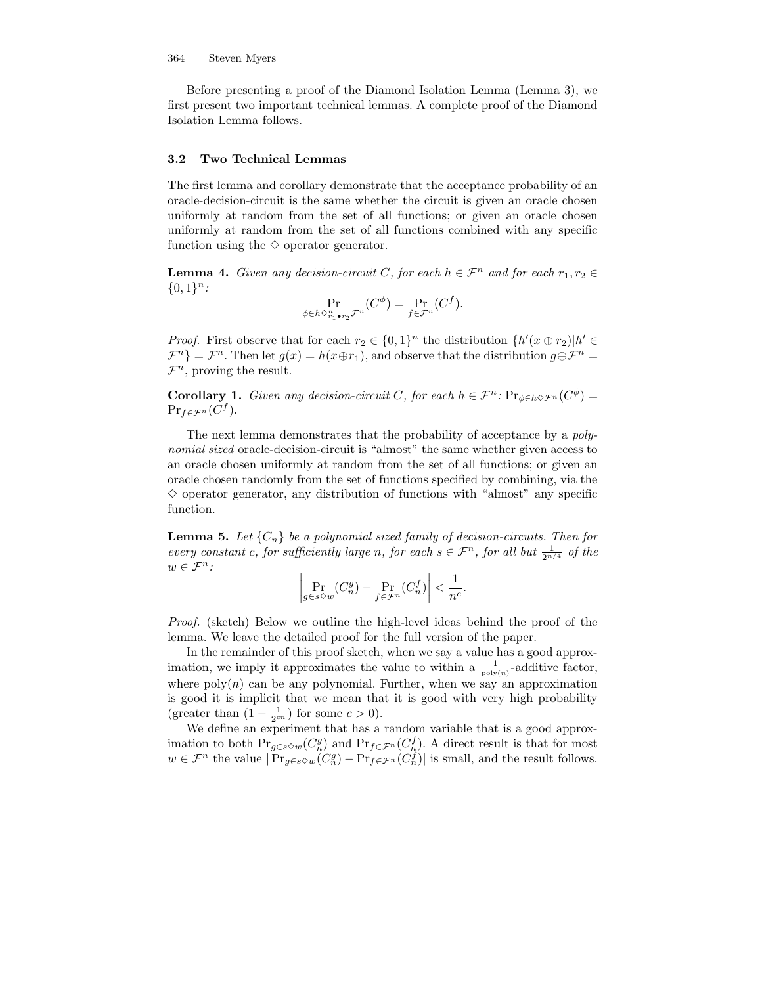Before presenting a proof of the Diamond Isolation Lemma (Lemma 3), we first present two important technical lemmas. A complete proof of the Diamond Isolation Lemma follows.

## 3.2 Two Technical Lemmas

The first lemma and corollary demonstrate that the acceptance probability of an oracle-decision-circuit is the same whether the circuit is given an oracle chosen uniformly at random from the set of all functions; or given an oracle chosen uniformly at random from the set of all functions combined with any specific function using the  $\diamond$  operator generator.

**Lemma 4.** Given any decision-circuit C, for each  $h \in \mathcal{F}^n$  and for each  $r_1, r_2 \in$  ${0,1}^n$ :

$$
\Pr_{\phi \in h \diamond_{r_1 \bullet r_2}^n \mathcal{F}^n} (C^{\phi}) = \Pr_{f \in \mathcal{F}^n} (C^f).
$$

*Proof.* First observe that for each  $r_2 \in \{0,1\}^n$  the distribution  $\{h'(x \oplus r_2)|h' \in$  $\mathcal{F}^n$ } =  $\mathcal{F}^n$ . Then let  $g(x) = h(x \oplus r_1)$ , and observe that the distribution  $g \oplus \mathcal{F}^n$  =  $\mathcal{F}^n$ , proving the result.

**Corollary 1.** Given any decision-circuit C, for each  $h \in \mathcal{F}^n$ :  $\Pr_{\phi \in h \Diamond \mathcal{F}^n}(C^{\phi}) =$  $Pr_{f \in \mathcal{F}^n}(C^f)$ .

The next lemma demonstrates that the probability of acceptance by a polynomial sized oracle-decision-circuit is "almost" the same whether given access to an oracle chosen uniformly at random from the set of all functions; or given an oracle chosen randomly from the set of functions specified by combining, via the  $\diamond$  operator generator, any distribution of functions with "almost" any specific function.

**Lemma 5.** Let  $\{C_n\}$  be a polynomial sized family of decision-circuits. Then for every constant c, for sufficiently large n, for each  $s \in \mathcal{F}^n$ , for all but  $\frac{1}{2^{n/4}}$  of the  $w \in \mathcal{F}^n$ :  $n$ :

$$
\left| \Pr_{g \in s \cdot \infty} (C_n^g) - \Pr_{f \in \mathcal{F}^n} (C_n^f) \right| < \frac{1}{n^c}.
$$

Proof. (sketch) Below we outline the high-level ideas behind the proof of the lemma. We leave the detailed proof for the full version of the paper.

In the remainder of this proof sketch, when we say a value has a good approximation, we imply it approximates the value to within a  $\frac{1}{\text{poly}(n)}$ -additive factor, where  $poly(n)$  can be any polynomial. Further, when we say an approximation is good it is implicit that we mean that it is good with very high probability (greater than  $(1 - \frac{1}{2^{cn}})$  for some  $c > 0$ ).

We define an experiment that has a random variable that is a good approximation to both  $Pr_{g \in s \sim w}(C_n^g)$  and  $Pr_{f \in \mathcal{F}^n}(C_n^f)$ . A direct result is that for most  $w \in \mathcal{F}^n$  the value  $|\Pr_{g \in s \circ w}(C_n^g) - \Pr_{f \in \mathcal{F}^n}(C_n^f)|$  is small, and the result follows.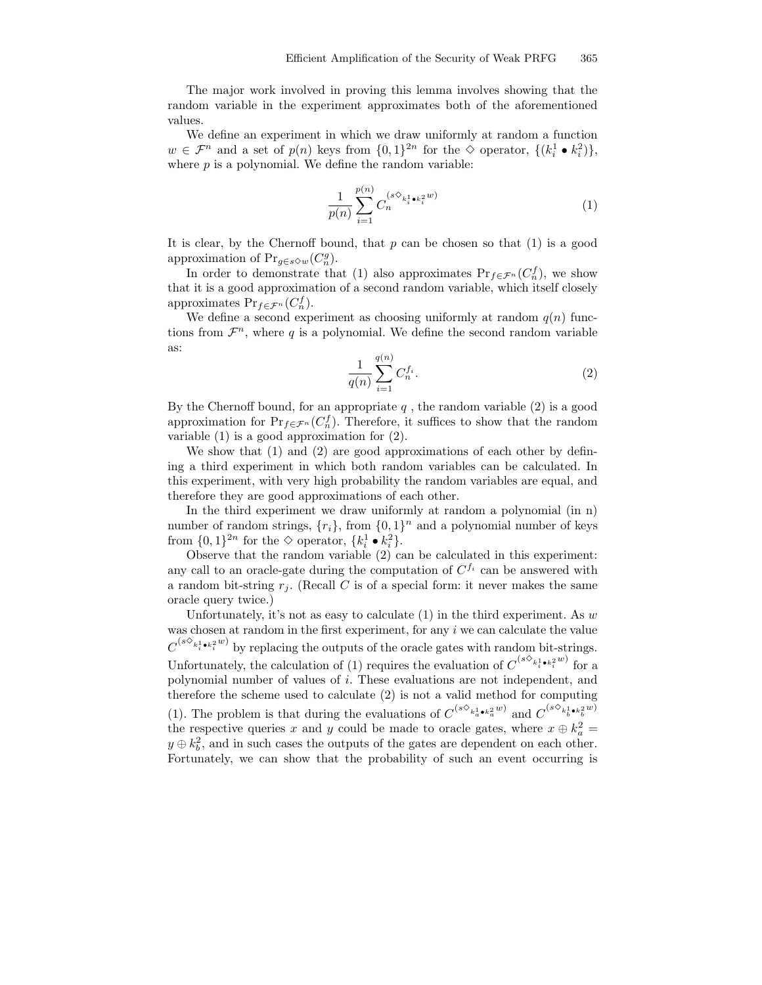The major work involved in proving this lemma involves showing that the random variable in the experiment approximates both of the aforementioned values.

We define an experiment in which we draw uniformly at random a function  $w \in \mathcal{F}^n$  and a set of  $p(n)$  keys from  $\{0,1\}^{2n}$  for the  $\diamond$  operator,  $\{(k_i^1 \bullet k_i^2)\}\$ , where  $p$  is a polynomial. We define the random variable:

$$
\frac{1}{p(n)}\sum_{i=1}^{p(n)} C_n^{(s\diamond_{k_i^1\bullet k_i^2}w)}\tag{1}
$$

It is clear, by the Chernoff bound, that  $p$  can be chosen so that  $(1)$  is a good approximation of  $Pr_{g \in s \diamond w}(C_n^g)$ .

In order to demonstrate that (1) also approximates  $Pr_{f \in \mathcal{F}^{n}}(C_{n}^{f}),$  we show that it is a good approximation of a second random variable, which itself closely approximates  $Pr_{f \in \mathcal{F}^n}(C_n^f)$ .

We define a second experiment as choosing uniformly at random  $q(n)$  functions from  $\mathcal{F}^n$ , where q is a polynomial. We define the second random variable as:

$$
\frac{1}{q(n)} \sum_{i=1}^{q(n)} C_n^{f_i}.
$$
 (2)

By the Chernoff bound, for an appropriate  $q$ , the random variable (2) is a good approximation for  $Pr_{f \in \mathcal{F}^{n}}(C_{n}^{f})$ . Therefore, it suffices to show that the random variable (1) is a good approximation for (2).

We show that  $(1)$  and  $(2)$  are good approximations of each other by defining a third experiment in which both random variables can be calculated. In this experiment, with very high probability the random variables are equal, and therefore they are good approximations of each other.

In the third experiment we draw uniformly at random a polynomial (in n) number of random strings,  $\{r_i\}$ , from  $\{0, 1\}^n$  and a polynomial number of keys from  $\{0,1\}^{2n}$  for the  $\diamond$  operator,  $\{k_i^1 \bullet k_i^2\}$ .

Observe that the random variable (2) can be calculated in this experiment: any call to an oracle-gate during the computation of  $C^{f_i}$  can be answered with a random bit-string  $r_j$ . (Recall C is of a special form: it never makes the same oracle query twice.)

Unfortunately, it's not as easy to calculate  $(1)$  in the third experiment. As w was chosen at random in the first experiment, for any  $i$  we can calculate the value  $C^{(s\Diamond_{k_i^1\bullet k_i^2}w)}$  by replacing the outputs of the oracle gates with random bit-strings. Unfortunately, the calculation of (1) requires the evaluation of  $C^{(s\Diamond_{k_i^1\bullet k_i^2}w)}$  for a polynomial number of values of i. These evaluations are not independent, and therefore the scheme used to calculate (2) is not a valid method for computing (1). The problem is that during the evaluations of  $C^{(s\Diamond_{k_a^1} \bullet k_a^2 w)}$  and  $C^{(s\Diamond_{k_b^1} \bullet k_b^2 w)}$ the respective queries x and y could be made to oracle gates, where  $x \oplus k_a^2 =$  $y \oplus k_b^2$ , and in such cases the outputs of the gates are dependent on each other. Fortunately, we can show that the probability of such an event occurring is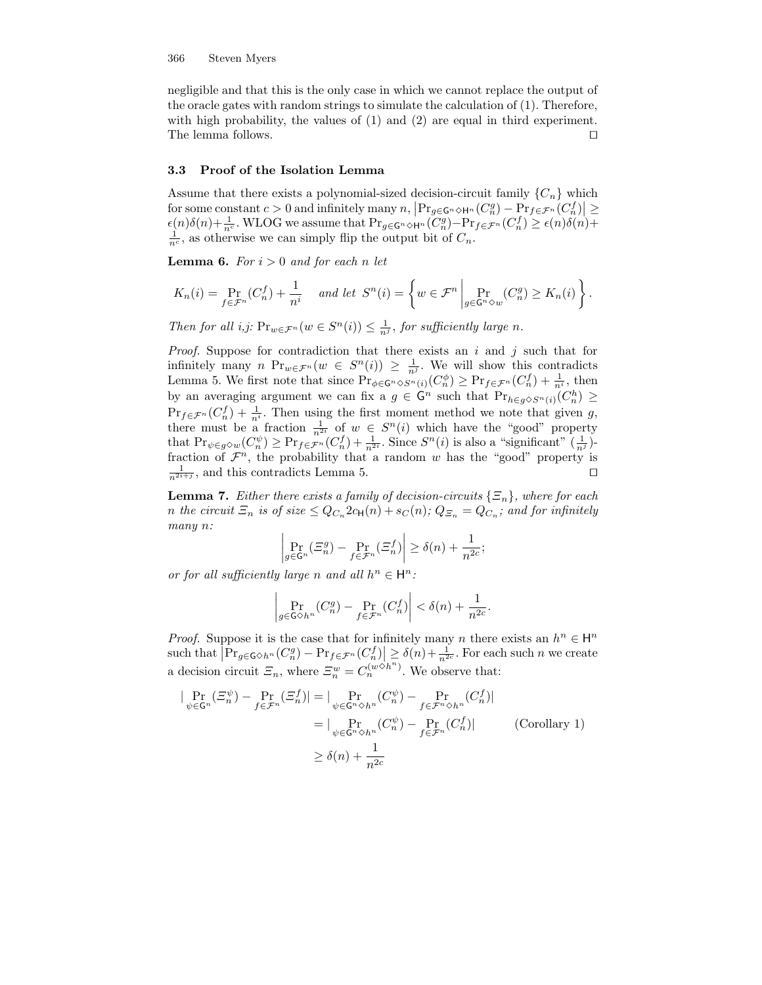negligible and that this is the only case in which we cannot replace the output of the oracle gates with random strings to simulate the calculation of (1). Therefore, with high probability, the values of  $(1)$  and  $(2)$  are equal in third experiment. The lemma follows.  $\Box$ 

#### 3.3 Proof of the Isolation Lemma

Assume that there exists a polynomial-sized decision-circuit family  $\{C_n\}$  which for some constant  $c > 0$  and infinitely many  $n$ ,  $\left|\Pr_{g \in \mathbb{G}^n \diamond \mathsf{H}^n}(C_n^g) - \Pr_{f \in \mathcal{F}^n}(C_n^f)\right| \geq$  $\epsilon(n)\delta(n)+\frac{1}{n^c}$ . WLOG we assume that  $Pr_{g\in\mathsf{G}^n\triangleleft\mathsf{H}^n}(C_n^g)-Pr_{f\in\mathcal{F}^n}(C_n^f)\geq \epsilon(n)\delta(n)+\frac{1}{n^c}$ .  $\frac{1}{n^c}$ , as otherwise we can simply flip the output bit of  $C_n$ .

**Lemma 6.** For  $i > 0$  and for each n let

$$
K_n(i) = \Pr_{f \in \mathcal{F}^n}(C_n^f) + \frac{1}{n^i} \quad \text{ and let } S^n(i) = \left\{ w \in \mathcal{F}^n \middle| \Pr_{g \in \mathsf{G}^n \diamond w}(C_n^g) \ge K_n(i) \right\}.
$$

Then for all i,j:  $\Pr_{w \in \mathcal{F}^n}(w \in S^n(i)) \leq \frac{1}{n^j}$ , for sufficiently large n.

*Proof.* Suppose for contradiction that there exists an i and j such that for infinitely many n  $Pr_{w \in \mathcal{F}^n}(w \in S^n(i)) \geq \frac{1}{n^j}$ . We will show this contradicts Lemma 5. We first note that since  $Pr_{\phi \in \mathsf{G}^n \diamond S^n(i)}(C_n^{\phi}) \geq Pr_{f \in \mathcal{F}^n}(C_n^f) + \frac{1}{n^i}$ , then by an averaging argument we can fix a  $g \in \mathsf{G}^n$  such that  $Pr_{h \in g \diamond S^n(i)}(C_n^h) \geq$  $\Pr_{f \in \mathcal{F}^n}(C_n^f) + \frac{1}{n^i}$ . Then using the first moment method we note that given g, there must be a fraction  $\frac{1}{n^{2i}}$  of  $w \in S^n(i)$  which have the "good" property that  $Pr_{\psi \in g \Diamond w}(C_n^{\psi}) \ge Pr_{f \in \mathcal{F}^n}(C_n^f) + \frac{1}{n^{2i}}$ . Since  $S^n(i)$  is also a "significant"  $(\frac{1}{n^j})$ fraction of  $\mathcal{F}^n$ , the probability that a random w has the "good" property is  $\frac{1}{n^{2i+j}}$ , and this contradicts Lemma 5.

**Lemma 7.** Either there exists a family of decision-circuits  $\{\Xi_n\}$ , where for each n the circuit  $\Xi_n$  is of size  $\leq Q_{C_n} 2c_H(n) + s_C(n)$ ;  $Q_{\Xi_n} = Q_{C_n}$ ; and for infinitely many n:

$$
\left| \Pr_{g \in \mathsf{G}^n} (\varXi^g_n) - \Pr_{f \in \mathcal{F}^n} (\varXi^f_n) \right| \ge \delta(n) + \frac{1}{n^{2c}};
$$

or for all sufficiently large n and all  $h^n \in \mathsf{H}^n$ :

$$
\left| \Pr_{g \in \mathsf{G} \diamond h^n} (C_n^g) - \Pr_{f \in \mathcal{F}^n} (C_n^f) \right| < \delta(n) + \frac{1}{n^{2c}}.
$$

*Proof.* Suppose it is the case that for infinitely many n there exists an  $h^n \in \mathsf{H}^n$ such that  $\left|\Pr_{g\in\mathsf{G}\Diamond h^{n}}(C_{n}^{g}) - \Pr_{f\in\mathcal{F}^{n}}(C_{n}^{f})\right| \geq \delta(n) + \frac{1}{n^{2c}}$ . For each such n we create a decision circuit  $\mathcal{Z}_n$ , where  $\mathcal{Z}_n^w = C_n^{(w \diamond h^n)}$ . We observe that:

$$
\begin{aligned} |\Pr_{\psi \in \mathsf{G}^n} (\Xi_n^{\psi}) - \Pr_{f \in \mathcal{F}^n} (\Xi_n^f)| &= |\Pr_{\psi \in \mathsf{G}^n \diamondsuit h^n} (C_n^{\psi}) - \Pr_{f \in \mathcal{F}^n \diamondsuit h^n} (C_n^f)| \\ &= |\Pr_{\psi \in \mathsf{G}^n \diamondsuit h^n} (C_n^{\psi}) - \Pr_{f \in \mathcal{F}^n} (C_n^f)| \end{aligned} \tag{Corollary 1}
$$
  

$$
\geq \delta(n) + \frac{1}{n^{2c}}
$$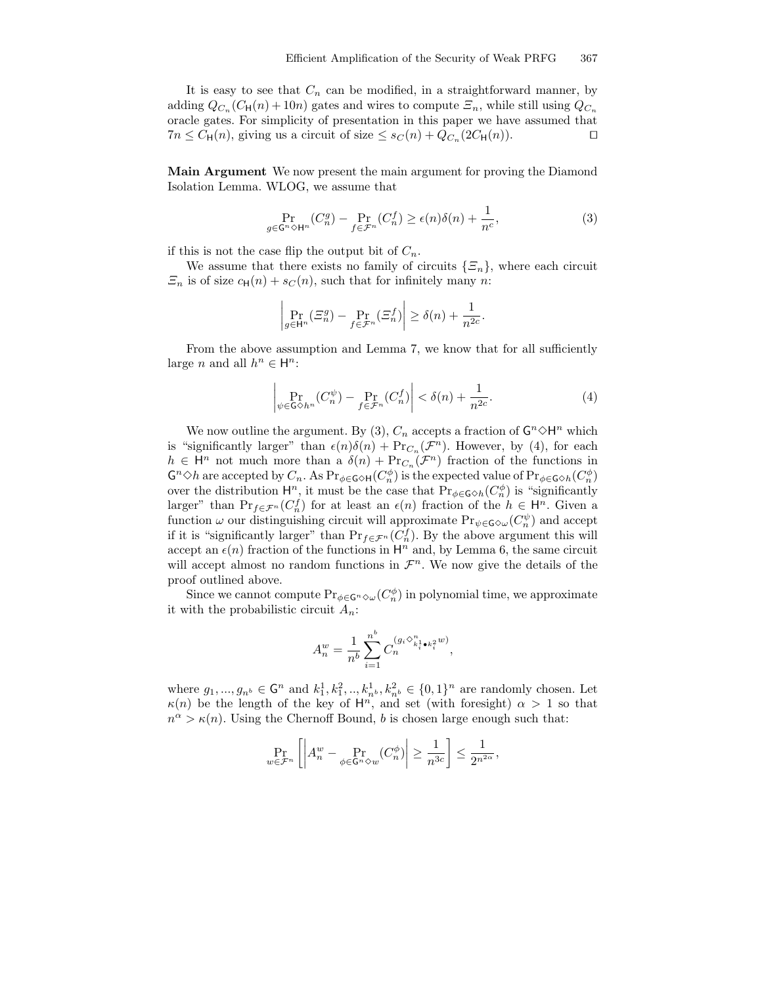It is easy to see that  $C_n$  can be modified, in a straightforward manner, by adding  $Q_{C_n}(C_{\mathsf{H}}(n) + 10n)$  gates and wires to compute  $\mathcal{Z}_n$ , while still using  $Q_{C_n}$ oracle gates. For simplicity of presentation in this paper we have assumed that  $7n \leq C_{\mathsf{H}}(n)$ , giving us a circuit of size  $\leq s_C(n) + Q_{C_n}(2C_{\mathsf{H}}(n))$ .

Main Argument We now present the main argument for proving the Diamond Isolation Lemma. WLOG, we assume that

$$
\Pr_{g \in \mathsf{G}^n \diamond \mathsf{H}^n} (C_n^g) - \Pr_{f \in \mathcal{F}^n} (C_n^f) \ge \epsilon(n) \delta(n) + \frac{1}{n^c},\tag{3}
$$

if this is not the case flip the output bit of  $C_n$ .

We assume that there exists no family of circuits  $\{\mathcal{Z}_n\}$ , where each circuit  $\Xi_n$  is of size  $c_H(n) + s_C(n)$ , such that for infinitely many n:

$$
\left| \Pr_{g \in \mathsf{H}^n} (\Xi_n^g) - \Pr_{f \in \mathcal{F}^n} (\Xi_n^f) \right| \ge \delta(n) + \frac{1}{n^{2c}}.
$$

From the above assumption and Lemma 7, we know that for all sufficiently large *n* and all  $h^n \in \mathsf{H}^n$ :

$$
\left| \Pr_{\psi \in \mathsf{G} \diamond h^n} (C_n^{\psi}) - \Pr_{f \in \mathcal{F}^n} (C_n^f) \right| < \delta(n) + \frac{1}{n^{2c}}. \tag{4}
$$

We now outline the argument. By (3),  $C_n$  accepts a fraction of  $\mathsf{G}^n \diamond \mathsf{H}^n$  which is "significantly larger" than  $\epsilon(n)\delta(n) + \Pr_{C_n}(\mathcal{F}^n)$ . However, by (4), for each  $h \in \mathsf{H}^n$  not much more than a  $\delta(n) + \Pr_{C_n}(\mathcal{F}^n)$  fraction of the functions in  $\mathsf{G}^n \diamond h$  are accepted by  $C_n$ . As  $\Pr_{\phi \in \mathsf{G} \diamond \mathsf{H}}(C_n^{\phi})$  is the expected value of  $\Pr_{\phi \in \mathsf{G} \diamond h}(C_n^{\phi})$ over the distribution  $\mathsf{H}^n$ , it must be the case that  $Pr_{\phi \in \mathsf{G} \diamond h}(C_n^{\phi})$  is "significantly" larger" than  $Pr_{f \in \mathcal{F}^{n}}(C_{n}^{f})$  for at least an  $\epsilon(n)$  fraction of the  $h \in \mathsf{H}^{n}$ . Given a function  $\omega$  our distinguishing circuit will approximate  $Pr_{\psi \in \mathsf{G} \diamond \omega}(C_n^{\psi})$  and accept if it is "significantly larger" than  $Pr_{f \in \mathcal{F}^n}(C_n^f)$ . By the above argument this will accept an  $\epsilon(n)$  fraction of the functions in  $\mathsf{H}^n$  and, by Lemma 6, the same circuit will accept almost no random functions in  $\mathcal{F}^n$ . We now give the details of the proof outlined above.

Since we cannot compute  $Pr_{\phi \in \mathsf{G}^n} \diamond_{\omega}(C_n^{\phi})$  in polynomial time, we approximate it with the probabilistic circuit  $A_n$ :

$$
A_n^w = \frac{1}{n^b} \sum_{i=1}^{n^b} C_n^{(g_i \diamond_{k_i^1 \bullet k_i^2}^n w)},
$$

where  $g_1, ..., g_{n^b} \in \mathbb{G}^n$  and  $k_1^1, k_1^2, ..., k_{n^b}^1, k_{n^b}^2 \in \{0, 1\}^n$  are randomly chosen. Let  $\kappa(n)$  be the length of the key of  $H^{n'}$ , and set (with foresight)  $\alpha > 1$  so that  $n^{\alpha} > \kappa(n)$ . Using the Chernoff Bound, b is chosen large enough such that:

$$
\Pr_{w \in \mathcal{F}^n} \left[ \left| A_n^w - \Pr_{\phi \in \mathsf{G}^n \diamond w} (C_n^{\phi}) \right| \ge \frac{1}{n^{3c}} \right] \le \frac{1}{2^{n^{2\alpha}}},
$$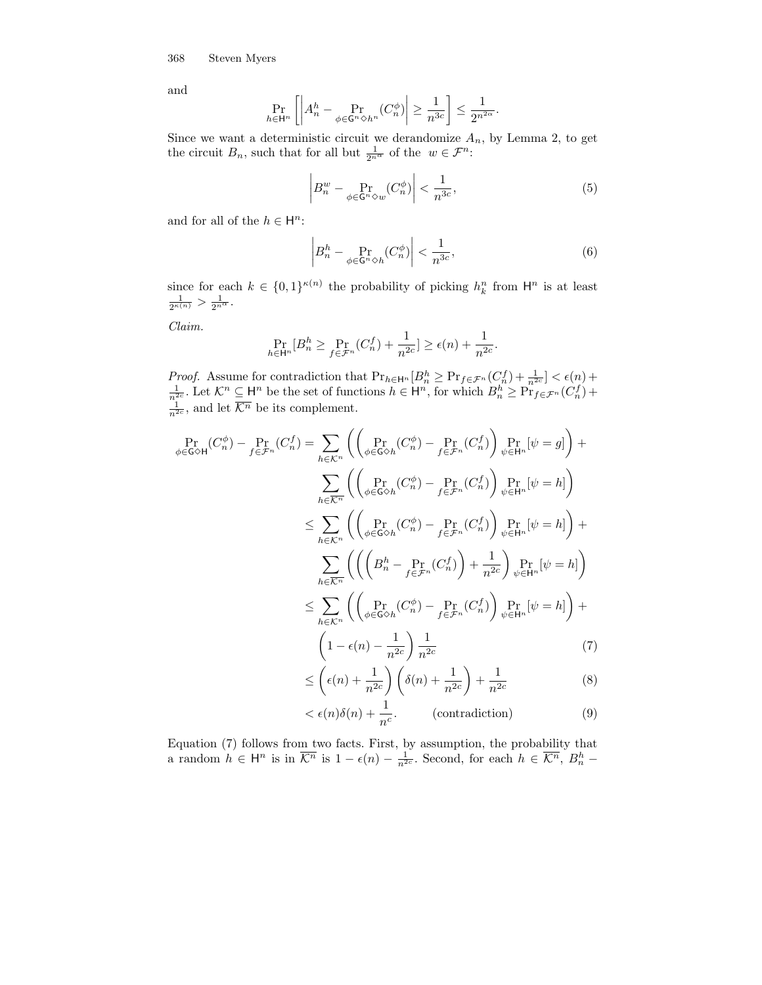and

$$
\Pr_{h \in \mathsf{H}^n} \left[ \left| A_n^h - \Pr_{\phi \in \mathsf{G}^n \diamond h^n} (C_n^{\phi}) \right| \ge \frac{1}{n^{3c}} \right] \le \frac{1}{2^{n^{2\alpha}}}.
$$

Since we want a deterministic circuit we derandomize  $A_n$ , by Lemma 2, to get the circuit  $B_n$ , such that for all but  $\frac{1}{2^{n^{\alpha}}}$  of the  $w \in \mathcal{F}^n$ :

$$
\left| B_n^w - \Pr_{\phi \in \mathsf{G}^n \diamond w} (C_n^{\phi}) \right| < \frac{1}{n^{3c}},\tag{5}
$$

and for all of the  $h \in \mathsf{H}^n$ :

$$
\left| B_n^h - \Pr_{\phi \in \mathsf{G}^n \diamond h} (C_n^\phi) \right| < \frac{1}{n^{3c}},\tag{6}
$$

since for each  $k \in \{0,1\}^{\kappa(n)}$  the probability of picking  $h_k^n$  from  $\mathsf{H}^n$  is at least  $\frac{1}{2^{\kappa(n)}} > \frac{1}{2^{n^{\alpha}}}$ .

Claim.

$$
\Pr_{h \in \mathsf{H}^n} [B^h_n \ge \Pr_{f \in \mathcal{F}^n} (C^f_n) + \frac{1}{n^{2c}}] \ge \epsilon(n) + \frac{1}{n^{2c}}.
$$

*Proof.* Assume for contradiction that  $Pr_{h \in H^n} [B_n^h \geq Pr_{f \in \mathcal{F}^n} (C_n^f) + \frac{1}{n^{2c}}] < \epsilon(n) + \frac{1}{n^{2c}}$ . Let  $\mathcal{K}^n \subseteq H^n$  be the set of functions  $h \in H^n$ , for which  $B_n^h \geq Pr_{f \in \mathcal{F}^n} (C_n^f) +$  $\frac{1}{n^{2c}}$ , and let  $\overline{\mathcal{K}^n}$  be its complement.

$$
\Pr_{\phi \in \mathsf{G} \circ \mathsf{H}}(C_n^{\phi}) - \Pr_{f \in \mathcal{F}^n}(C_n^f) = \sum_{h \in \mathcal{K}^n} \left( \left( \Pr_{\phi \in \mathsf{G} \circ h} (C_n^{\phi}) - \Pr_{f \in \mathcal{F}^n} (C_n^f) \right) \Pr_{\psi \in \mathsf{H}^n} [\psi = g] \right) + \sum_{h \in \overline{\mathcal{K}}^n} \left( \left( \Pr_{\phi \in \mathsf{G} \circ h} (C_n^{\phi}) - \Pr_{f \in \mathcal{F}^n} (C_n^f) \right) \Pr_{\psi \in \mathsf{H}^n} [\psi = h] \right) \le \sum_{h \in \mathcal{K}^n} \left( \left( \Pr_{\phi \in \mathsf{G} \circ h} (C_n^{\phi}) - \Pr_{f \in \mathcal{F}^n} (C_n^f) \right) \Pr_{\psi \in \mathsf{H}^n} [\psi = h] \right) + \sum_{h \in \overline{\mathcal{K}}^n} \left( \left( \left( B_n^h - \Pr_{f \in \mathcal{F}^n} (C_n^f) \right) + \frac{1}{n^{2c}} \right) \Pr_{\psi \in \mathsf{H}^n} [\psi = h] \right) \le \sum_{h \in \mathcal{K}^n} \left( \left( \Pr_{\phi \in \mathsf{G} \circ h} (C_n^{\phi}) - \Pr_{f \in \mathcal{F}^n} (C_n^f) \right) \Pr_{\psi \in \mathsf{H}^n} [\psi = h] \right) + \left( 1 - \epsilon(n) - \frac{1}{n^{2c}} \right) \frac{1}{n^{2c}} \tag{7}
$$

$$
\leq \left(\epsilon(n) + \frac{1}{n^{2c}}\right) \left(\delta(n) + \frac{1}{n^{2c}}\right) + \frac{1}{n^{2c}}\tag{8}
$$

$$
<\epsilon(n)\delta(n) + \frac{1}{n^c}.
$$
 (contradiction) (9)

Equation (7) follows from two facts. First, by assumption, the probability that a random  $h \in \mathsf{H}^n$  is in  $\overline{\mathcal{K}^n}$  is  $1 - \epsilon(n) - \frac{1}{n^{2c}}$ . Second, for each  $h \in \overline{\mathcal{K}^n}$ ,  $B_n^h$  –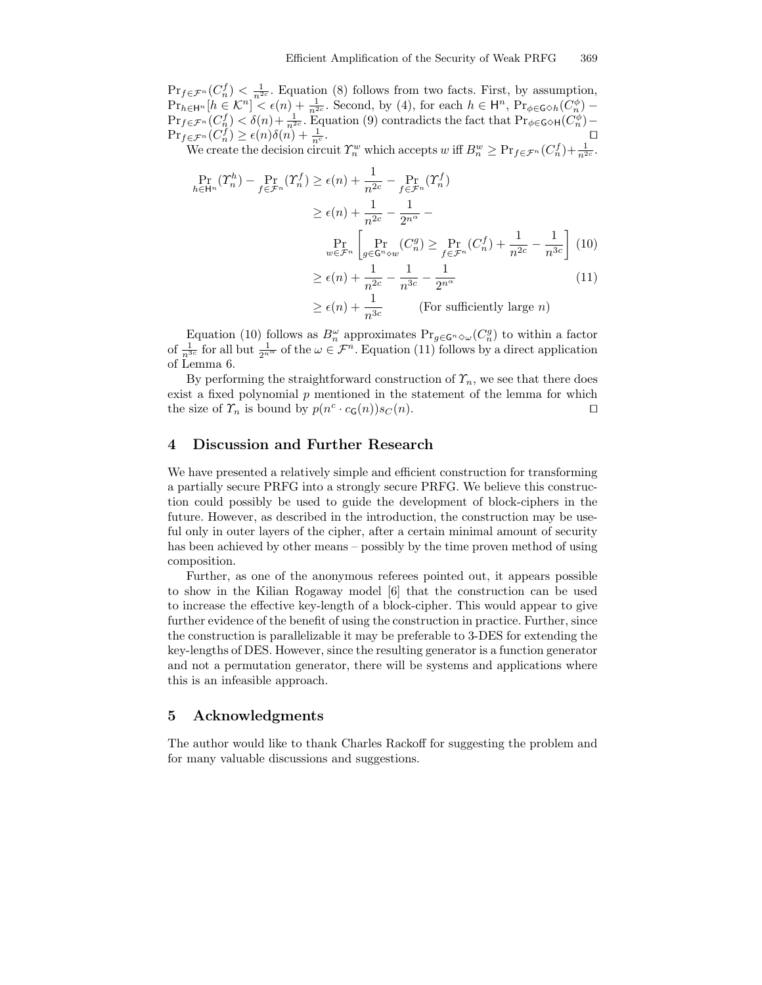$\Pr_{f \in \mathcal{F}^n}(C_n^f) < \frac{1}{n^{2c}}$ . Equation (8) follows from two facts. First, by assumption,  $\Pr_{h \in \mathsf{H}^n} [h \in \mathcal{K}^n] \leq \epsilon(n) + \frac{1}{n^{2c}}$ . Second, by (4), for each  $h \in \mathsf{H}^n$ ,  $\Pr_{\phi \in \mathsf{G} \diamond h}(C_n^{\phi})$  $\Pr_{f \in \mathcal{F}^n}(C_n^f) < \delta(n) + \frac{1}{n^{2c}}$ . Equation (9) contradicts the fact that  $\Pr_{\phi \in \mathsf{G} \diamond \mathsf{H}}(C_n^{\phi})$  $\Pr_{f \in \mathcal{F}^n}(C_n^f) \ge \epsilon(n)\delta(n) + \frac{1}{n^c}.$ 

We create the decision circuit  $\Upsilon_n^w$  which accepts w iff  $B_n^w \geq \Pr_{f \in \mathcal{F}^n}(C_n^f) + \frac{1}{n^{2c}}$ .

$$
\Pr_{h \in \mathsf{H}^n}(\Upsilon_n^h) - \Pr_{f \in \mathcal{F}^n}(\Upsilon_n^f) \ge \epsilon(n) + \frac{1}{n^{2c}} - \Pr_{f \in \mathcal{F}^n}(\Upsilon_n^f)
$$
\n
$$
\ge \epsilon(n) + \frac{1}{n^{2c}} - \frac{1}{2^{n^{\alpha}}} - \Pr_{w \in \mathcal{F}^n} \left[ \Pr_{g \in \mathsf{G}^n \circ w}(\mathit{C}_n^g) \ge \Pr_{f \in \mathcal{F}^n}(\mathit{C}_n^f) + \frac{1}{n^{2c}} - \frac{1}{n^{3c}} \right] \tag{10}
$$
\n
$$
\ge \epsilon(n) + \frac{1}{n^{2c}} - \frac{1}{n^{3c}} - \frac{1}{2^{n^{\alpha}}} \tag{11}
$$
\n
$$
\ge \epsilon(n) + \frac{1}{n^{3c}} \qquad \text{(For sufficiently large } n)
$$

Equation (10) follows as  $B_n^{\omega}$  approximates  $Pr_{g \in \mathsf{G}^n \diamond \omega}(C_n^g)$  to within a factor of  $\frac{1}{n^{3c}}$  for all but  $\frac{1}{2n^{\alpha}}$  of the  $\omega \in \mathcal{F}^n$ . Equation (11) follows by a direct application of Lemma 6.

By performing the straightforward construction of  $\Upsilon_n$ , we see that there does exist a fixed polynomial  $p$  mentioned in the statement of the lemma for which the size of  $\mathcal{T}_n$  is bound by  $p(n^c \cdot c_{\mathsf{G}}(n))s_C(n)$ .

# 4 Discussion and Further Research

We have presented a relatively simple and efficient construction for transforming a partially secure PRFG into a strongly secure PRFG. We believe this construction could possibly be used to guide the development of block-ciphers in the future. However, as described in the introduction, the construction may be useful only in outer layers of the cipher, after a certain minimal amount of security has been achieved by other means – possibly by the time proven method of using composition.

Further, as one of the anonymous referees pointed out, it appears possible to show in the Kilian Rogaway model [6] that the construction can be used to increase the effective key-length of a block-cipher. This would appear to give further evidence of the benefit of using the construction in practice. Further, since the construction is parallelizable it may be preferable to 3-DES for extending the key-lengths of DES. However, since the resulting generator is a function generator and not a permutation generator, there will be systems and applications where this is an infeasible approach.

## 5 Acknowledgments

The author would like to thank Charles Rackoff for suggesting the problem and for many valuable discussions and suggestions.